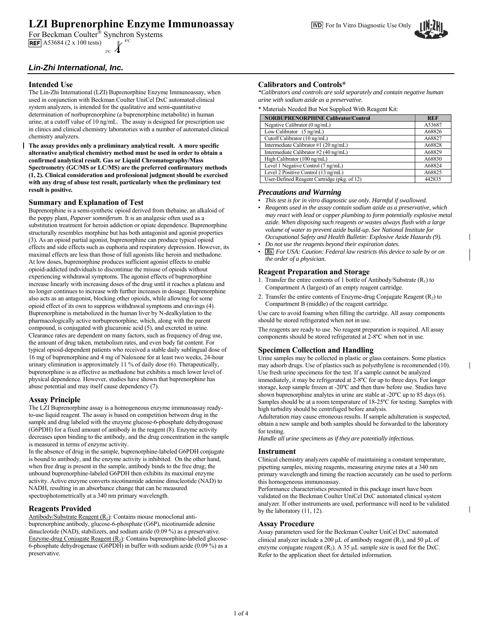# **LZI Buprenorphine Enzyme Immunoassay** For In Vitro Diagnostic Use Only

For Beckman Coulter<sup>®</sup> Synchron Systems **REF** A53684 (2 x 100 tests)  $2^{\circ}C$ 

# **Intended Use**

The Lin-Zhi International (LZI) Buprenorphine Enzyme Immunoassay, when used in conjunction with Beckman Coulter UniCel DxC automated clinical system analyzers, is intended for the qualitative and semi-quantitative determination of norbuprenorphine (a buprenorphine metabolite) in human urine, at a cutoff value of 10 ng/mL. The assay is designed for prescription use in clinics and clinical chemistry laboratories with a number of automated clinical chemistry analyzers.

**The assay provides only a preliminary analytical result. A more specific alternative analytical chemistry method must be used in order to obtain a confirmed analytical result. Gas or Liquid Chromatography/Mass Spectrometry (GC/MS or LC/MS) are the preferred confirmatory methods (1, 2). Clinical consideration and professional judgment should be exercised with any drug of abuse test result, particularly when the preliminary test result is positive***.* 

## **Summary and Explanation of Test**

Buprenorphine is a semi-synthetic opioid derived from thebaine, an alkaloid of the poppy plant, *Papaver somniferum*. It is an analgesic often used as a substitution treatment for heroin addiction or opiate dependence. Buprenorphine structurally resembles morphine but has both antagonist and agonist properties (3). As an opioid partial agonist, buprenorphine can produce typical opioid effects and side effects such as euphoria and respiratory depression. However, its maximal effects are less than those of full agonists like heroin and methadone. At low doses, buprenorphine produces sufficient agonist effects to enable opioid-addicted individuals to discontinue the misuse of opioids without experiencing withdrawal symptoms. The agonist effects of buprenorphine increase linearly with increasing doses of the drug until it reaches a plateau and no longer continues to increase with further increases in dosage. Buprenorphine also acts as an antagonist, blocking other opioids, while allowing for some opioid effect of its own to suppress withdrawal symptoms and cravings (4). Buprenorphine is metabolized in the human liver by N-dealkylation to the pharmacologically active norbuprenorphine, which, along with the parent compound, is conjugated with glucuronic acid (5), and excreted in urine. Clearance rates are dependent on many factors, such as frequency of drug use, the amount of drug taken, metabolism rates, and even body fat content. For typical opioid-dependent patients who received a stable daily sublingual dose of 16 mg of buprenorphine and 4 mg of Naloxone for at least two weeks, 24-hour urinary elimination is approximately 11 % of daily dose (6). Therapeutically, buprenorphine is as effective as methadone but exhibits a much lower level of physical dependence. However, studies have shown that buprenorphine has abuse potential and may itself cause dependency (7).

## **Assay Principle**

The LZI Buprenorphine assay is a homogeneous enzyme immunoassay readyto-use liquid reagent. The assay is based on competition between drug in the sample and drug labeled with the enzyme glucose-6-phosphate dehydrogenase (G6PDH) for a fixed amount of antibody in the reagent (8). Enzyme activity decreases upon binding to the antibody, and the drug concentration in the sample is measured in terms of enzyme activity.

In the absence of drug in the sample, buprenorphine-labeled G6PDH conjugate is bound to antibody, and the enzyme activity is inhibited. On the other hand, when free drug is present in the sample, antibody binds to the free drug; the unbound buprenorphine-labeled G6PDH then exhibits its maximal enzyme activity. Active enzyme converts nicotinamide adenine dinucleotide (NAD) to NADH, resulting in an absorbance change that can be measured spectrophotometrically at a 340 nm primary wavelength.

## **Reagents Provided**

Antibody/Substrate Reagent  $(R<sub>1</sub>)$ : Contains mouse monoclonal antibuprenorphine antibody, glucose-6-phosphate (G6P), nicotinamide adenine dinucleotide (NAD), stabilizers, and sodium azide (0.09 %) as a preservative. Enzyme-drug Conjugate Reagent (R<sub>2</sub>): Contains buprenorphine-labeled glucose-6-phosphate dehydrogenase (G6PDH) in buffer with sodium azide (0.09 %) as a preservative.

# **Calibrators and Controls\***

*\*Calibrators and controls are sold separately and contain negative human urine with sodium azide as a preservative.* 

\* Materials Needed But Not Supplied With Reagent Kit:

| <b>NORBUPRENORPHINE Calibrator/Control</b>  | <b>REF</b> |
|---------------------------------------------|------------|
| Negative Calibrator (0 ng/mL)               | A53687     |
| Low Calibrator (5 ng/mL)                    | A68826     |
| Cutoff Calibrator (10 ng/mL)                | A68827     |
| Intermediate Calibrator #1 (20 ng/mL)       | A68828     |
| Intermediate Calibrator #2 (40 ng/mL)       | A68829     |
| High Calibrator (100 ng/mL)                 | A68830     |
| Level 1 Negative Control (7 ng/mL)          | A68824     |
| Level 2 Positive Control (13 ng/mL)         | A68825     |
| User-Defined Reagent Cartridge (pkg. of 12) | 442835     |

## *Precautions and Warning*

- *This test is for in vitro diagnostic use only. Harmful if swallowed.*
- *Reagents used in the assay contain sodium azide as a preservative, which may react with lead or copper plumbing to form potentially explosive metal azide. When disposing such reagents or wastes always flush with a large volume of water to prevent azide build-up. See National Institute for Occupational Safety and Health Bulletin: Explosive Azide Hazards (9).*
- *Do not use the reagents beyond their expiration dates.*
- *For USA: Caution: Federal law restricts this device to sale by or on the order of a physician.*

## **Reagent Preparation and Storage**

- 1. Transfer the entire contents of 1 bottle of Antibody/Substrate  $(R_1)$  to Compartment A (largest) of an empty reagent cartridge.
- 2. Transfer the entire contents of Enzyme-drug Conjugate Reagent  $(R_2)$  to Compartment B (middle) of the reagent cartridge.

Use care to avoid foaming when filling the cartridge. All assay components should be stored refrigerated when not in use.

The reagents are ready to use. No reagent preparation is required. All assay components should be stored refrigerated at 2-8ºC when not in use.

# **Specimen Collection and Handling**

Urine samples may be collected in plastic or glass containers. Some plastics may adsorb drugs. Use of plastics such as polyethylene is recommended (10). Use fresh urine specimens for the test. If a sample cannot be analyzed immediately, it may be refrigerated at 2-8ºC for up to three days. For longer storage, keep sample frozen at -20ºC and then thaw before use. Studies have shown buprenorphine analytes in urine are stable at -20ºC up to 85 days (6). Samples should be at a room temperature of 18-25ºC for testing. Samples with high turbidity should be centrifuged before analysis.

Adulteration may cause erroneous results. If sample adulteration is suspected, obtain a new sample and both samples should be forwarded to the laboratory for testing.

*Handle all urine specimens as if they are potentially infectious.* 

## **Instrument**

Clinical chemistry analyzers capable of maintaining a constant temperature, pipetting samples, mixing reagents, measuring enzyme rates at a 340 nm primary wavelength and timing the reaction accurately can be used to perform this homogeneous immunoassay.

Performance characteristics presented in this package insert have been validated on the Beckman Coulter UniCel DxC automated clinical system analyzer. If other instruments are used, performance will need to be validated by the laboratory (11, 12).

## **Assay Procedure**

Assay parameters used for the Beckman Coulter UniCel DxC automated clinical analyzer include a 200  $\mu$ L of antibody reagent (R<sub>1</sub>), and 50  $\mu$ L of enzyme conjugate reagent  $(R_2)$ . A 35 µL sample size is used for the DxC. Refer to the application sheet for detailed information.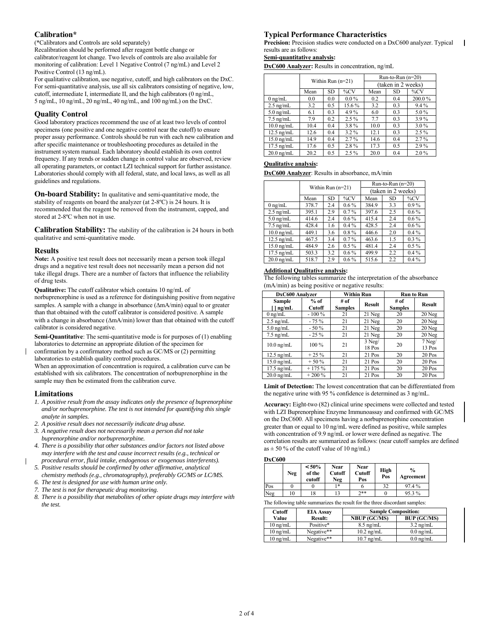# **Calibration\***

(\*Calibrators and Controls are sold separately) Recalibration should be performed after reagent bottle change or calibrator/reagent lot change. Two levels of controls are also available for monitoring of calibration: Level 1 Negative Control (7 ng/mL) and Level 2 Positive Control (13 ng/mL).

For qualitative calibration, use negative, cutoff, and high calibrators on the DxC. For semi-quantitative analysis, use all six calibrators consisting of negative, low, cutoff, intermediate I, intermediate II, and the high calibrators (0 ng/mL, 5 ng/mL, 10 ng/mL, 20 ng/mL, 40 ng/mL, and 100 ng/mL) on the DxC.

# **Quality Control**

Good laboratory practices recommend the use of at least two levels of control specimens (one positive and one negative control near the cutoff) to ensure proper assay performance. Controls should be run with each new calibration and after specific maintenance or troubleshooting procedures as detailed in the instrument system manual. Each laboratory should establish its own control frequency. If any trends or sudden change in control value are observed, review all operating parameters, or contact LZI technical support for further assistance. Laboratories should comply with all federal, state, and local laws, as well as all guidelines and regulations.

**On-board Stability:** In qualitative and semi-quantitative mode, the stability of reagents on board the analyzer (at 2-8ºC) is 24 hours. It is recommended that the reagent be removed from the instrument, capped, and stored at 2-8ºC when not in use.

**Calibration Stability:** The stability of the calibration is 24 hours in both qualitative and semi-quantitative mode.

## **Results**

**Note:** A positive test result does not necessarily mean a person took illegal drugs and a negative test result does not necessarily mean a person did not take illegal drugs. There are a number of factors that influence the reliability of drug tests.

**Qualitative:** The cutoff calibrator which contains 10 ng/mL of norbuprenorphine is used as a reference for distinguishing positive from negative samples. A sample with a change in absorbance  $(\Delta m A/min)$  equal to or greater than that obtained with the cutoff calibrator is considered positive. A sample with a change in absorbance ( $\Delta$ mA/min) lower than that obtained with the cutoff calibrator is considered negative.

**Semi-Quantitative**: The semi-quantitative mode is for purposes of (1) enabling laboratories to determine an appropriate dilution of the specimen for

confirmation by a confirmatory method such as GC/MS or (2) permitting laboratories to establish quality control procedures.

When an approximation of concentration is required, a calibration curve can be established with six calibrators. The concentration of norbuprenorphine in the sample may then be estimated from the calibration curve.

## **Limitations**

- *1. A positive result from the assay indicates only the presence of buprenorphine and/or norbuprenorphine. The test is not intended for quantifying this single analyte in samples.*
- *2. A positive result does not necessarily indicate drug abuse.*
- *3. A negative result does not necessarily mean a person did not take buprenorphine and/or norbuprenorphine.*
- *4. There is a possibility that other substances and/or factors not listed above may interfere with the test and cause incorrect results (e.g., technical or procedural error, fluid intake, endogenous or exogenous interferents).*
- *5. Positive results should be confirmed by other affirmative, analytical*
- *chemistry methods (e.g., chromatography), preferably GC/MS or LC/MS. 6. The test is designed for use with human urine only.*
- *7. The test is not for therapeutic drug monitoring.*
- *8. There is a possibility that metabolites of other opiate drugs may interfere with the test.*

# **Typical Performance Characteristics**

**Precision:** Precision studies were conducted on a DxC600 analyzer. Typical results are as follows:

# **Semi-quantitative analysis:**

**DxC600 Analyzer:** Results in concentration, ng/mL

|                      | Within Run $(n=21)$ |     |         | Run-to-Run $(n=20)$ |           |         |
|----------------------|---------------------|-----|---------|---------------------|-----------|---------|
|                      |                     |     |         | (taken in 2 weeks)  |           |         |
|                      | Mean                | SD. | $\%CV$  | Mean                | <b>SD</b> | $\%CV$  |
| $0 \text{ ng/mL}$    | 0.0                 | 0.0 | $0.0\%$ | 0.2                 | 0.4       | 200.0%  |
| $2.5$ ng/mL          | 3.2                 | 0.5 | 15.6%   | 3.2                 | 0.3       | $9.4\%$ |
| $5.0 \text{ ng/mL}$  | 6.1                 | 0.3 | 4.9%    | 6.0                 | 0.3       | 5.0%    |
| $7.5$ ng/mL          | 7.9                 | 0.2 | $2.5\%$ | 7.7                 | 0.3       | $3.9\%$ |
| $10.0$ ng/mL         | 10.4                | 0.4 | 3.8%    | 10.0                | 0.3       | $3.0\%$ |
| $12.5 \text{ ng/mL}$ | 12.6                | 0.4 | $3.2\%$ | 12.1                | 0.3       | $2.5\%$ |
| $15.0$ ng/mL         | 14.9                | 0.4 | $2.7\%$ | 14.6                | 0.4       | $2.7\%$ |
| $17.5$ ng/mL         | 17.6                | 0.5 | 2.8%    | 17.3                | 0.5       | 2.9%    |
| $20.0$ ng/mL         | 20.2                | 0.5 | $2.5\%$ | 20.0                | 0.4       | $2.0\%$ |

#### **Qualitative analysis:**

**DxC600 Analyzer**: Results in absorbance, mA/min

|                      | Within Run $(n=21)$ |                |         | Run-to-Run $(n=20)$ |                    |         |
|----------------------|---------------------|----------------|---------|---------------------|--------------------|---------|
|                      |                     |                |         |                     | (taken in 2 weeks) |         |
|                      | Mean                | <b>SD</b>      | $\%CV$  | Mean                | SD.                | $\%CV$  |
| $0 \text{ ng/mL}$    | 378.7               | 2.4            | $0.6\%$ | 384.9               | 3.3                | $0.9\%$ |
| $2.5$ ng/mL          | 395.1               | 2.9            | $0.7\%$ | 397.6               | 2.5                | $0.6\%$ |
| $5.0$ ng/mL          | 414.6               | 2.4<br>$0.6\%$ |         | 415.4               | 2.4                | $0.6\%$ |
| $7.5 \text{ ng/mL}$  | 428.4               | $0.4\%$<br>1.6 |         | 428.5               | 2.4                | $0.6\%$ |
| $10.0$ ng/mL         | 449.1               | 3.6            | $0.8\%$ | 446.6               | 2.0                | $0.4\%$ |
| $12.5 \text{ ng/mL}$ | 467.5               | 3.4            | $0.7\%$ | 463.6               | 1.5                | $0.3\%$ |
| $15.0$ ng/mL         | 484.9               | 2.6            | $0.5\%$ | 481.4               | 2.4                | $0.5\%$ |
| $17.5$ ng/mL         | 503.3               | 3.2            | $0.6\%$ | 499.9               | 2.2                | $0.4\%$ |
| $20.0 \text{ ng/mL}$ | 518.7               | 2.9            | $0.6\%$ | 515.6               | 2.2                | $0.4\%$ |

## **Additional Qualitative analysis:**

The following tables summarize the interpretation of the absorbance (mA/min) as being positive or negative results:

| DxC600 Analyzer      |                         | <b>Within Run</b>      |                    | <b>Run to Run</b>      |                    |
|----------------------|-------------------------|------------------------|--------------------|------------------------|--------------------|
| Sample<br>ng/mL      | $%$ of<br><b>Cutoff</b> | # of<br><b>Samples</b> | <b>Result</b>      | # of<br><b>Samples</b> | <b>Result</b>      |
| $0 \text{ ng/mL}$    | $-100\%$                | 21                     | $21$ Neg           | 20                     | $20$ Neg           |
| $2.5$ ng/mL          | $-75%$                  | 21                     | $21$ Neg           | 20                     | 20 Neg             |
| $5.0$ ng/mL          | $-50%$                  | 21                     | $21$ Neg           | 20                     | $20$ Neg           |
| $7.5$ ng/mL          | $-25%$                  | 21                     | $21$ Neg           | 20                     | 20 Neg             |
| $10.0$ ng/mL         | 100 %                   | 21                     | $3$ Neg/<br>18 Pos | 20                     | $7$ Neg/<br>13 Pos |
| $12.5 \text{ ng/mL}$ | $+25%$                  | 21                     | 21 Pos             | 20                     | 20 Pos             |
| $15.0$ ng/mL         | $+50%$                  | 21                     | 21 Pos             | 20                     | 20 Pos             |
| $17.5$ ng/mL         | $+175%$                 | 21                     | 21 Pos             | 20                     | 20 Pos             |
| $20.0$ ng/mL         | $+200%$                 | 21                     | 21 Pos             | 20                     | 20 Pos             |

**Limit of Detection:** The lowest concentration that can be differentiated from the negative urine with 95 % confidence is determined as 3 ng/mL.

**Accuracy:** Eight-two (82) clinical urine specimens were collected and tested with LZI Buprenorphine Enzyme Immunoassay and confirmed with GC/MS on the DxC600. All specimens having a norbuprenorphine concentration greater than or equal to 10 ng/mL were defined as positive, while samples with concentration of 9.9 ng/mL or lower were defined as negative. The correlation results are summarized as follows: (near cutoff samples are defined as  $\pm$  50 % of the cutoff value of 10 ng/mL)

## **DxC600**

|     | Neg | $< 50\%$<br>of the<br>cutoff | <b>Near</b><br>Cutoff<br>Neg | <b>Near</b><br>Cutoff<br>Pos | High<br>Pos | $\frac{0}{0}$<br>Agreement |
|-----|-----|------------------------------|------------------------------|------------------------------|-------------|----------------------------|
| Pos |     |                              | 1*                           |                              | 32          | 97.4%                      |
| Neg | 10  | 18                           |                              | $7**$                        |             | 95.3%                      |

The following table summarizes the result for the three discordant samples:

| Cutoff             | <b>EIA Assay</b> | <b>Sample Composition:</b> |                     |
|--------------------|------------------|----------------------------|---------------------|
| Value              | <b>Result:</b>   | <b>NBUP (GC/MS)</b>        | <b>BUP (GC/MS)</b>  |
| $10 \text{ ng/mL}$ | Positive*        | $8.5$ ng/mL                | $3.2 \text{ ng/mL}$ |
| $10 \text{ ng/mL}$ | Negative**       | $10.2 \text{ ng/mL}$       | $0.0 \text{ ng/mL}$ |
| $10 \text{ ng/mL}$ | Negative**       | $10.7 \text{ ng/mL}$       | $0.0$ ng/mL         |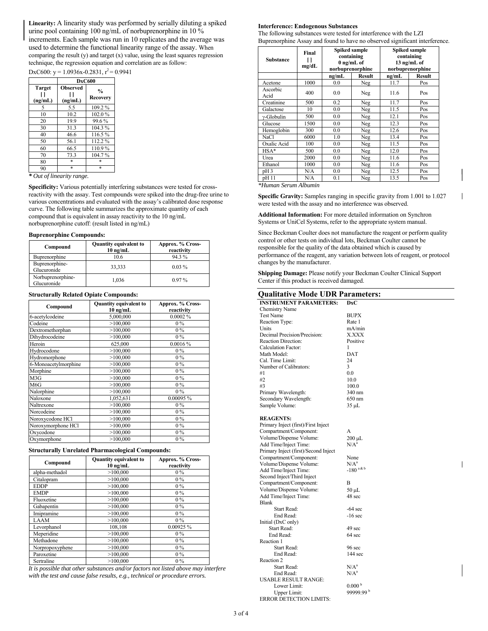**Linearity:** A linearity study was performed by serially diluting a spiked urine pool containing 100 ng/mL of norbuprenorphine in 10 % increments. Each sample was run in 10 replicates and the average was used to determine the functional linearity range of the assay. When comparing the result (y) and target (x) value, using the least squares regression technique, the regression equation and correlation are as follow:

DxC600:  $v = 1.0936x - 0.2831$ ,  $r^2 = 0.9941$ 

|                          | <b>DxC600</b>              |                                  |  |
|--------------------------|----------------------------|----------------------------------|--|
| <b>Target</b><br>(ng/mL) | <b>Observed</b><br>(ng/mL) | $\frac{0}{0}$<br><b>Recovery</b> |  |
| 5                        | 5.5                        | 109.2%                           |  |
| 10                       | 10.2                       | 102.0%                           |  |
| 20                       | 19.9                       | 99.6%                            |  |
| 30                       | 31.3                       | 104.3%                           |  |
| 40                       | 46.6                       | 116.5%                           |  |
| 50                       | 56.1                       | 112.2%                           |  |
| 60                       | 66.5                       | 110.9%                           |  |
| 70                       | 73.3                       | 104.7%                           |  |
| 80                       | $\ast$                     | $\ast$                           |  |
| 90                       | $\ast$                     | $\ast$                           |  |

*\* Out of linearity range.*

**Specificity:** Various potentially interfering substances were tested for crossreactivity with the assay. Test compounds were spiked into the drug-free urine to various concentrations and evaluated with the assay's calibrated dose response curve. The following table summarizes the approximate quantity of each compound that is equivalent in assay reactivity to the 10 ng/mL norbuprenorphine cutoff: (result listed in ng/mL)

#### **Buprenorphine Compounds:**

| Compound                         | <b>Quantity equivalent to</b><br>$10$ ng/mL | Approx. % Cross-<br>reactivity |
|----------------------------------|---------------------------------------------|--------------------------------|
| Buprenorphine                    | 10.6                                        | 94.3%                          |
| Buprenorphine-<br>Glucuronide    | 33,333                                      | $0.03\%$                       |
| Norbuprenorphine-<br>Glucuronide | 1.036                                       | $0.97\%$                       |

#### **Structurally Related Opiate Compounds:**

| Compound             | <b>Quantity equivalent to</b><br>$10$ ng/mL | Approx. % Cross-<br>reactivity |
|----------------------|---------------------------------------------|--------------------------------|
| 6-acetylcodeine      | 5,000,000                                   | $0.0002\%$                     |
| Codeine              | >100,000                                    | $0\%$                          |
| Dextromethorphan     | >100,000                                    | $0\%$                          |
| Dihydrocodeine       | >100,000                                    | $0\%$                          |
| Heroin               | 625,000                                     | 0.0016%                        |
| Hydrocodone          | >100,000                                    | $0\%$                          |
| Hydromorphone        | >100,000                                    | $0\%$                          |
| 6-Monoacetylmorphine | >100,000                                    | $0\%$                          |
| Morphine             | >100,000                                    | $0\%$                          |
| M3G                  | >100,000                                    | $0\%$                          |
| M <sub>6</sub> G     | >100,000                                    | $0\%$                          |
| Nalorphine           | >100,000                                    | $0\%$                          |
| Naloxone             | 1,052,631                                   | 0.00095 %                      |
| Naltrexone           | >100,000                                    | $0\%$                          |
| Norcodeine           | >100,000                                    | $0\%$                          |
| Noroxycodone HCl     | >100,000                                    | $0\%$                          |
| Noroxymorphone HCl   | >100,000                                    | $0\%$                          |
| Oxycodone            | >100,000                                    | $0\%$                          |
| Oxymorphone          | >100,000                                    | $0\%$                          |

### **Structurally Unrelated Pharmacological Compounds:**

| Compound        | <b>Quantity equivalent to</b><br>$10 \text{ ng/mL}$ | Approx. % Cross-<br>reactivity |
|-----------------|-----------------------------------------------------|--------------------------------|
| alpha-methadol  | >100,000                                            | $0\%$                          |
| Citalopram      | >100,000                                            | $0\%$                          |
| <b>EDDP</b>     | >100,000                                            | $0\%$                          |
| <b>EMDP</b>     | >100,000                                            | $0\%$                          |
| Fluoxetine      | >100,000                                            | $0\%$                          |
| Gabapentin      | >100,000                                            | $0\%$                          |
| Imipramine      | >100,000                                            | $0\%$                          |
| LAAM            | >100,000                                            | $0\%$                          |
| Levorphanol     | 108,108                                             | 0.00925%                       |
| Meperidine      | >100,000                                            | $0\%$                          |
| Methadone       | >100,000                                            | $0\%$                          |
| Norpropoxyphene | >100,000                                            | $0\%$                          |
| Paroxetine      | >100,000                                            | $0\%$                          |
| Sertraline      | >100,000                                            | $0\%$                          |

*It is possible that other substances and/or factors not listed above may interfere with the test and cause false results, e.g., technical or procedure errors.* 

#### **Interference: Endogenous Substances**

The following substances were tested for interference with the LZI Buprenorphine Assay and found to have no observed significant interference.

| <b>Substance</b> | Final<br>mg/dL | Spiked sample<br>containing<br>$0$ ng/mL of<br>norbuprenorphine |        | <b>Spiked sample</b><br>containing<br>13 ng/mL of<br>norbuprenorphine |               |
|------------------|----------------|-----------------------------------------------------------------|--------|-----------------------------------------------------------------------|---------------|
|                  |                | ng/mL                                                           | Result | ng/mL                                                                 | <b>Result</b> |
| Acetone          | 1000           | 0.0                                                             | Neg    | 11.7                                                                  | Pos           |
| Ascorbic<br>Acid | 400            | 0.0                                                             | Neg    | 11.6                                                                  | Pos           |
| Creatinine       | 500            | 0.2                                                             | Neg    | 11.7                                                                  | Pos           |
| Galactose        | 10             | 0.0                                                             | Neg    | 11.5                                                                  | Pos           |
| $v$ -Globulin    | 500            | 0.0                                                             | Neg    | 12.1                                                                  | Pos           |
| Glucose          | 1500           | 0.0                                                             | Neg    | 12.3                                                                  | Pos           |
| Hemoglobin       | 300            | 0.0                                                             | Neg    | 12.6                                                                  | Pos           |
| <b>NaCl</b>      | 6000           | 1.0                                                             | Neg    | 13.4                                                                  | Pos           |
| Oxalic Acid      | 100            | 0.0                                                             | Neg    | 11.5                                                                  | Pos           |
| $HSA*$           | 500            | 0.0                                                             | Neg    | 12.0                                                                  | Pos           |
| Urea             | 2000           | 0.0                                                             | Neg    | 11.6                                                                  | Pos           |
| Ethanol          | 1000           | 0.0                                                             | Neg    | 11.6                                                                  | Pos           |
| pH <sub>3</sub>  | N/A            | 0.0                                                             | Neg    | 12.5                                                                  | Pos           |
| pH 11            | N/A            | 0.1                                                             | Neg    | 13.5                                                                  | Pos           |

*\*Human Serum Albumin* 

**Specific Gravity:** Samples ranging in specific gravity from 1.001 to 1.027 were tested with the assay and no interference was observed.

**Additional Information:** For more detailed information on Synchron Systems or UniCel Systems, refer to the appropriate system manual.

Since Beckman Coulter does not manufacture the reagent or perform quality control or other tests on individual lots, Beckman Coulter cannot be responsible for the quality of the data obtained which is caused by performance of the reagent, any variation between lots of reagent, or protocol changes by the manufacturer.

**Shipping Damage:** Please notify your Beckman Coulter Clinical Support Center if this product is received damaged.

# **Qualitative Mode UDR Parameters:**

| Vuantative moue ODICI al a           |                       |
|--------------------------------------|-----------------------|
| <b>INSTRUMENT PARAMETERS:</b>        | <b>DxC</b>            |
| <b>Chemistry Name</b>                |                       |
| <b>Test Name</b>                     | <b>BUPX</b>           |
| Reaction Type:                       | Rate 1                |
| Units                                | mA/min                |
| Decimal Precision/Precision:         | <b>X.XXX</b>          |
| <b>Reaction Direction:</b>           | Positive              |
| <b>Calculation Factor:</b>           | 1                     |
| Math Model:                          | DAT                   |
|                                      |                       |
| Cal. Time Limit:                     | 24                    |
| Number of Calibrators:               | 3                     |
| #1                                   | 0.0                   |
| #2                                   | 10.0                  |
| #3                                   | 100.0                 |
| Primary Wavelength:                  | 340 nm                |
| Secondary Wavelength:                | 650 nm                |
| Sample Volume:                       | 35 µL                 |
|                                      |                       |
| <b>REAGENTS:</b>                     |                       |
| Primary Inject (first)/First Inject  |                       |
| Compartment/Component:               | А                     |
|                                      |                       |
| Volume/Dispense Volume:              | $200 \mu L$           |
| Add Time/Inject Time:                | N/A <sup>a</sup>      |
| Primary Inject (first)/Second Inject |                       |
| Compartment/Component:               | None                  |
| Volume/Dispense Volume:              | $N/A^a$               |
| Add Time/Inject Time:                | $-180$ a&b            |
| Second Inject/Third Inject           |                       |
| Compartment/Component:               | В                     |
| Volume/Dispense Volume:              | $50 \mu L$            |
| Add Time/Inject Time:                | 48 sec                |
| <b>Blank</b>                         |                       |
| <b>Start Read:</b>                   | $-64$ sec             |
| End Read:                            | $-16$ sec             |
| Initial (DxC only)                   |                       |
| <b>Start Read:</b>                   | 49 sec                |
|                                      |                       |
| End Read:                            | 64 sec                |
| Reaction 1                           |                       |
| <b>Start Read:</b>                   | 96 sec                |
| End Read:                            | $144$ sec             |
| Reaction 2                           |                       |
| <b>Start Read:</b>                   | $N/A^a$               |
| End Read:                            | $N/A^a$               |
| <b>USABLE RESULT RANGE:</b>          |                       |
| Lower Limit:                         | 0.000 <sup>b</sup>    |
| Upper Limit:                         | 99999.99 <sup>b</sup> |
| <b>ERROR DETECTION LIMITS:</b>       |                       |
|                                      |                       |